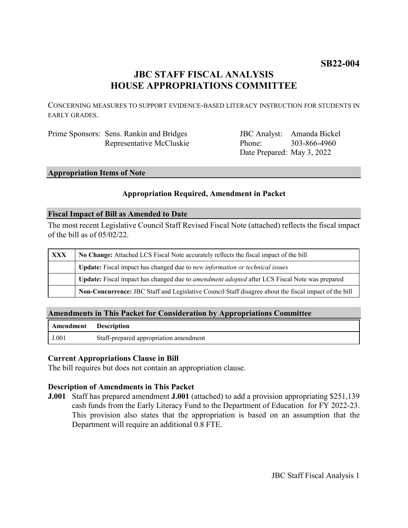# **JBC STAFF FISCAL ANALYSIS HOUSE APPROPRIATIONS COMMITTEE**

CONCERNING MEASURES TO SUPPORT EVIDENCE-BASED LITERACY INSTRUCTION FOR STUDENTS IN EARLY GRADES.

| Prime Sponsors: Sens. Rankin and Bridges |
|------------------------------------------|
| Representative McCluskie                 |

JBC Analyst: Amanda Bickel Phone: Date Prepared: May 3, 2022 303-866-4960

# **Appropriation Items of Note**

## **Appropriation Required, Amendment in Packet**

#### **Fiscal Impact of Bill as Amended to Date**

The most recent Legislative Council Staff Revised Fiscal Note (attached) reflects the fiscal impact of the bill as of 05/02/22.

| <b>XXX</b> | No Change: Attached LCS Fiscal Note accurately reflects the fiscal impact of the bill                 |  |
|------------|-------------------------------------------------------------------------------------------------------|--|
|            | Update: Fiscal impact has changed due to new information or technical issues                          |  |
|            | Update: Fiscal impact has changed due to <i>amendment adopted</i> after LCS Fiscal Note was prepared  |  |
|            | Non-Concurrence: JBC Staff and Legislative Council Staff disagree about the fiscal impact of the bill |  |

## **Amendments in This Packet for Consideration by Appropriations Committee**

| <b>Amendment</b> Description |                                        |
|------------------------------|----------------------------------------|
| J.001                        | Staff-prepared appropriation amendment |

## **Current Appropriations Clause in Bill**

The bill requires but does not contain an appropriation clause.

## **Description of Amendments in This Packet**

**J.001** Staff has prepared amendment **J.001** (attached) to add a provision appropriating \$251,139 cash funds from the Early Literacy Fund to the Department of Education for FY 2022-23. This provision also states that the appropriation is based on an assumption that the Department will require an additional 0.8 FTE.